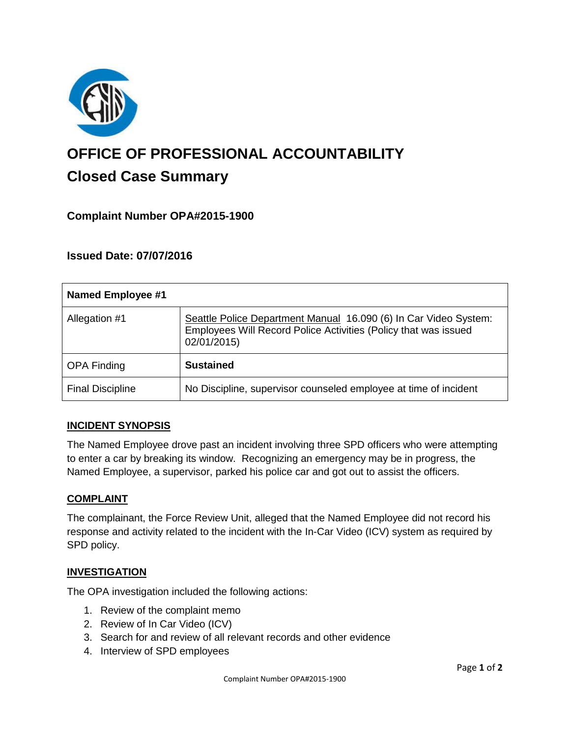

# **OFFICE OF PROFESSIONAL ACCOUNTABILITY Closed Case Summary**

# **Complaint Number OPA#2015-1900**

# **Issued Date: 07/07/2016**

| <b>Named Employee #1</b> |                                                                                                                                                    |
|--------------------------|----------------------------------------------------------------------------------------------------------------------------------------------------|
| Allegation #1            | Seattle Police Department Manual 16.090 (6) In Car Video System:<br>Employees Will Record Police Activities (Policy that was issued<br>02/01/2015) |
| <b>OPA Finding</b>       | <b>Sustained</b>                                                                                                                                   |
| <b>Final Discipline</b>  | No Discipline, supervisor counseled employee at time of incident                                                                                   |

## **INCIDENT SYNOPSIS**

The Named Employee drove past an incident involving three SPD officers who were attempting to enter a car by breaking its window. Recognizing an emergency may be in progress, the Named Employee, a supervisor, parked his police car and got out to assist the officers.

#### **COMPLAINT**

The complainant, the Force Review Unit, alleged that the Named Employee did not record his response and activity related to the incident with the In-Car Video (ICV) system as required by SPD policy.

## **INVESTIGATION**

The OPA investigation included the following actions:

- 1. Review of the complaint memo
- 2. Review of In Car Video (ICV)
- 3. Search for and review of all relevant records and other evidence
- 4. Interview of SPD employees